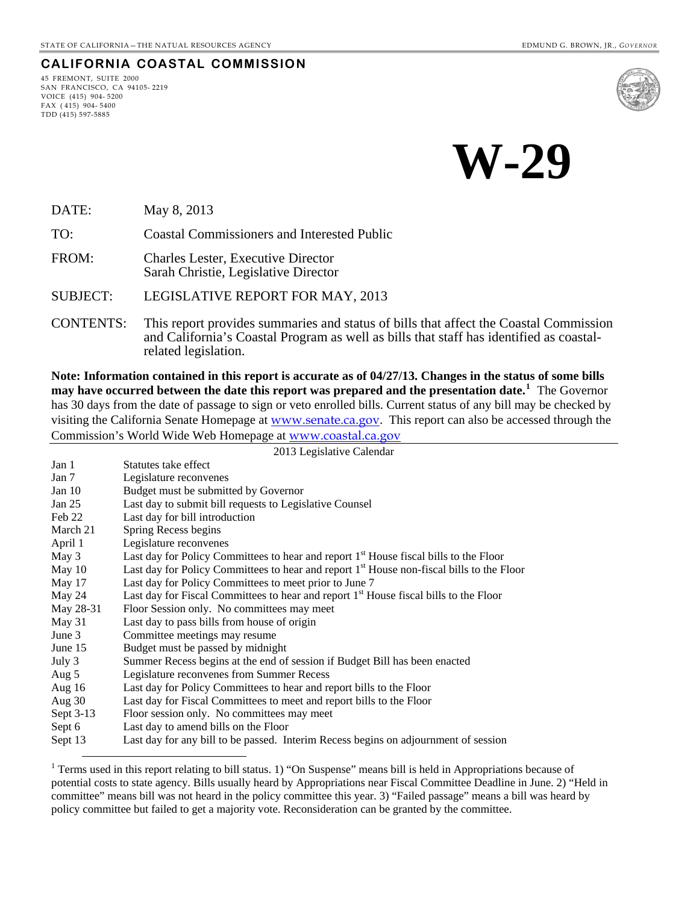#### **CALIFORNIA COASTAL COMMISSION**

45 FREMONT, SUITE 2000 SAN FRANCISCO, CA 94105- 2219 VOICE (415) 904- 5200 FAX ( 415) 904- 5400 TDD (415) 597-5885

 $\overline{a}$ 



**W-29** 

DATE: May 8, 2013

TO: Coastal Commissioners and Interested Public

FROM: Charles Lester, Executive Director Sarah Christie, Legislative Director

SUBJECT: LEGISLATIVE REPORT FOR MAY, 2013

CONTENTS: This report provides summaries and status of bills that affect the Coastal Commission and California's Coastal Program as well as bills that staff has identified as coastalrelated legislation.

**Note: Information contained in this report is accurate as of 04/27/13. Changes in the status of some bills may have occurred between the date this report was prepared and the presentation date.[1](#page-0-0)** The Governor has 30 days from the date of passage to sign or veto enrolled bills. Current status of any bill may be checked by visiting the California Senate Homepage at [www.senate.ca.gov](http://www.senate.ca.gov/). This report can also be accessed through the Commission's World Wide Web Homepage at [www.coastal.ca.gov](http://www.coastal.ca.gov/)

2013 Legislative Calendar

| Jan 1     | Statutes take effect                                                                              |
|-----------|---------------------------------------------------------------------------------------------------|
| Jan 7     | Legislature reconvenes                                                                            |
| Jan $10$  | Budget must be submitted by Governor                                                              |
| Jan $25$  | Last day to submit bill requests to Legislative Counsel                                           |
| Feb 22    | Last day for bill introduction                                                                    |
| March 21  | Spring Recess begins                                                                              |
| April 1   | Legislature reconvenes                                                                            |
| May 3     | Last day for Policy Committees to hear and report 1 <sup>st</sup> House fiscal bills to the Floor |
| May $10$  | Last day for Policy Committees to hear and report $1st$ House non-fiscal bills to the Floor       |
| May $17$  | Last day for Policy Committees to meet prior to June 7                                            |
| May 24    | Last day for Fiscal Committees to hear and report 1 <sup>st</sup> House fiscal bills to the Floor |
| May 28-31 | Floor Session only. No committees may meet                                                        |
| May 31    | Last day to pass bills from house of origin                                                       |
| June $3$  | Committee meetings may resume                                                                     |
| June $15$ | Budget must be passed by midnight                                                                 |
| July 3    | Summer Recess begins at the end of session if Budget Bill has been enacted                        |
| Aug 5     | Legislature reconvenes from Summer Recess                                                         |
| Aug $16$  | Last day for Policy Committees to hear and report bills to the Floor                              |
| Aug $30$  | Last day for Fiscal Committees to meet and report bills to the Floor                              |
| Sept 3-13 | Floor session only. No committees may meet                                                        |
| Sept 6    | Last day to amend bills on the Floor                                                              |
| Sept 13   | Last day for any bill to be passed. Interim Recess begins on adjournment of session               |

<span id="page-0-0"></span><sup>&</sup>lt;sup>1</sup> Terms used in this report relating to bill status. 1) "On Suspense" means bill is held in Appropriations because of potential costs to state agency. Bills usually heard by Appropriations near Fiscal Committee Deadline in June. 2) "Held in committee" means bill was not heard in the policy committee this year. 3) "Failed passage" means a bill was heard by policy committee but failed to get a majority vote. Reconsideration can be granted by the committee.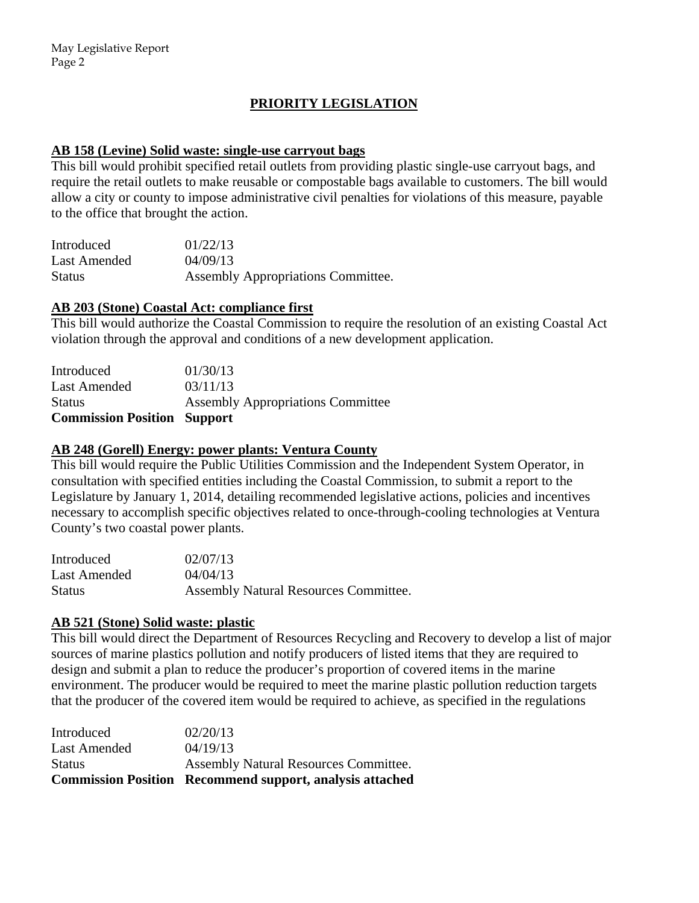# **PRIORITY LEGISLATION**

#### **AB 158 (Levine) Solid waste: single-use carryout bags**

This bill would prohibit specified retail outlets from providing plastic single-use carryout bags, and require the retail outlets to make reusable or compostable bags available to customers. The bill would allow a city or county to impose administrative civil penalties for violations of this measure, payable to the office that brought the action.

| Introduced    | 01/22/13                           |
|---------------|------------------------------------|
| Last Amended  | 04/09/13                           |
| <b>Status</b> | Assembly Appropriations Committee. |

## **AB 203 (Stone) Coastal Act: compliance first**

This bill would authorize the Coastal Commission to require the resolution of an existing Coastal Act violation through the approval and conditions of a new development application.

| <b>Commission Position Support</b> |                                          |
|------------------------------------|------------------------------------------|
| <b>Status</b>                      | <b>Assembly Appropriations Committee</b> |
| <b>Last Amended</b>                | 03/11/13                                 |
| Introduced                         | 01/30/13                                 |

#### **AB 248 (Gorell) Energy: power plants: Ventura County**

This bill would require the Public Utilities Commission and the Independent System Operator, in consultation with specified entities including the Coastal Commission, to submit a report to the Legislature by January 1, 2014, detailing recommended legislative actions, policies and incentives necessary to accomplish specific objectives related to once-through-cooling technologies at Ventura County's two coastal power plants.

| Introduced    | 02/07/13                              |
|---------------|---------------------------------------|
| Last Amended  | 04/04/13                              |
| <b>Status</b> | Assembly Natural Resources Committee. |

# **AB 521 (Stone) Solid waste: plastic**

This bill would direct the Department of Resources Recycling and Recovery to develop a list of major sources of marine plastics pollution and notify producers of listed items that they are required to design and submit a plan to reduce the producer's proportion of covered items in the marine environment. The producer would be required to meet the marine plastic pollution reduction targets that the producer of the covered item would be required to achieve, as specified in the regulations

|               | <b>Commission Position Recommend support, analysis attached</b> |
|---------------|-----------------------------------------------------------------|
| <b>Status</b> | Assembly Natural Resources Committee.                           |
| Last Amended  | 04/19/13                                                        |
| Introduced    | 02/20/13                                                        |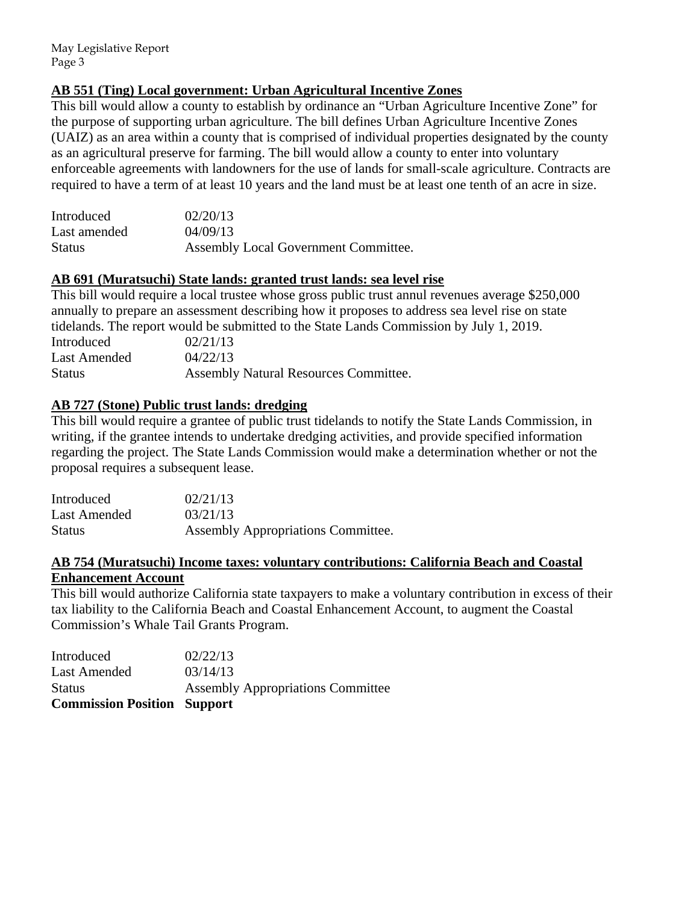# **AB 551 (Ting) Local government: Urban Agricultural Incentive Zones**

This bill would allow a county to establish by ordinance an "Urban Agriculture Incentive Zone" for the purpose of supporting urban agriculture. The bill defines Urban Agriculture Incentive Zones (UAIZ) as an area within a county that is comprised of individual properties designated by the county as an agricultural preserve for farming. The bill would allow a county to enter into voluntary enforceable agreements with landowners for the use of lands for small-scale agriculture. Contracts are required to have a term of at least 10 years and the land must be at least one tenth of an acre in size.

| Introduced    | 02/20/13                             |
|---------------|--------------------------------------|
| Last amended  | 04/09/13                             |
| <b>Status</b> | Assembly Local Government Committee. |

## **AB 691 (Muratsuchi) State lands: granted trust lands: sea level rise**

This bill would require a local trustee whose gross public trust annul revenues average \$250,000 annually to prepare an assessment describing how it proposes to address sea level rise on state tidelands. The report would be submitted to the State Lands Commission by July 1, 2019. Introduced 02/21/13 Last Amended  $04/22/13$ Status Assembly Natural Resources Committee.

## **AB 727 (Stone) Public trust lands: dredging**

This bill would require a grantee of public trust tidelands to notify the State Lands Commission, in writing, if the grantee intends to undertake dredging activities, and provide specified information regarding the project. The State Lands Commission would make a determination whether or not the proposal requires a subsequent lease.

| Introduced    | 02/21/13                           |
|---------------|------------------------------------|
| Last Amended  | 03/21/13                           |
| <b>Status</b> | Assembly Appropriations Committee. |

## **AB 754 (Muratsuchi) Income taxes: voluntary contributions: California Beach and Coastal Enhancement Account**

This bill would authorize California state taxpayers to make a voluntary contribution in excess of their tax liability to the California Beach and Coastal Enhancement Account, to augment the Coastal Commission's Whale Tail Grants Program.

| <b>Commission Position Support</b> |                                          |
|------------------------------------|------------------------------------------|
| <b>Status</b>                      | <b>Assembly Appropriations Committee</b> |
| <b>Last Amended</b>                | 03/14/13                                 |
| Introduced                         | 02/22/13                                 |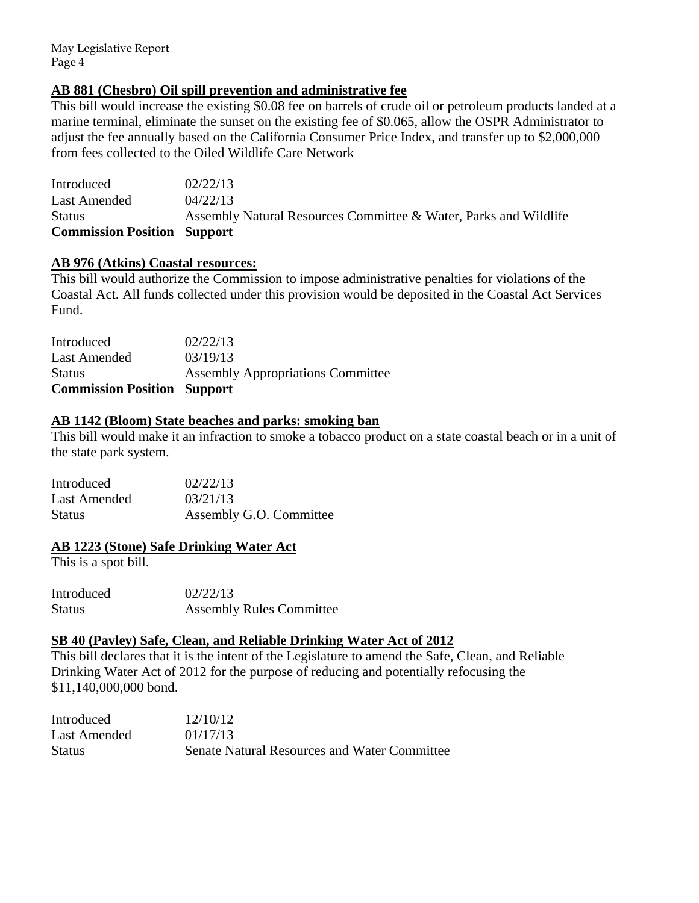May Legislative Report Page 4

#### **AB 881 (Chesbro) Oil spill prevention and administrative fee**

This bill would increase the existing \$0.08 fee on barrels of crude oil or petroleum products landed at a marine terminal, eliminate the sunset on the existing fee of \$0.065, allow the OSPR Administrator to adjust the fee annually based on the California Consumer Price Index, and transfer up to \$2,000,000 from fees collected to the Oiled Wildlife Care Network

Introduced 02/22/13 Last Amended  $04/22/13$ Status Assembly Natural Resources Committee & Water, Parks and Wildlife **Commission Position Support** 

#### **AB 976 (Atkins) Coastal resources:**

This bill would authorize the Commission to impose administrative penalties for violations of the Coastal Act. All funds collected under this provision would be deposited in the Coastal Act Services Fund.

| <b>Assembly Appropriations Committee</b> |
|------------------------------------------|
|                                          |
|                                          |
|                                          |

#### **AB 1142 (Bloom) State beaches and parks: smoking ban**

This bill would make it an infraction to smoke a tobacco product on a state coastal beach or in a unit of the state park system.

| Introduced   | 02/22/13                |
|--------------|-------------------------|
| Last Amended | 03/21/13                |
| Status       | Assembly G.O. Committee |

#### **AB 1223 (Stone) Safe Drinking Water Act**

This is a spot bill.

Introduced 02/22/13 Status Assembly Rules Committee

#### **SB 40 (Pavley) Safe, Clean, and Reliable Drinking Water Act of 2012**

This bill declares that it is the intent of the Legislature to amend the Safe, Clean, and Reliable Drinking Water Act of 2012 for the purpose of reducing and potentially refocusing the \$11,140,000,000 bond.

| Introduced    | 12/10/12                                            |
|---------------|-----------------------------------------------------|
| Last Amended  | 01/17/13                                            |
| <b>Status</b> | <b>Senate Natural Resources and Water Committee</b> |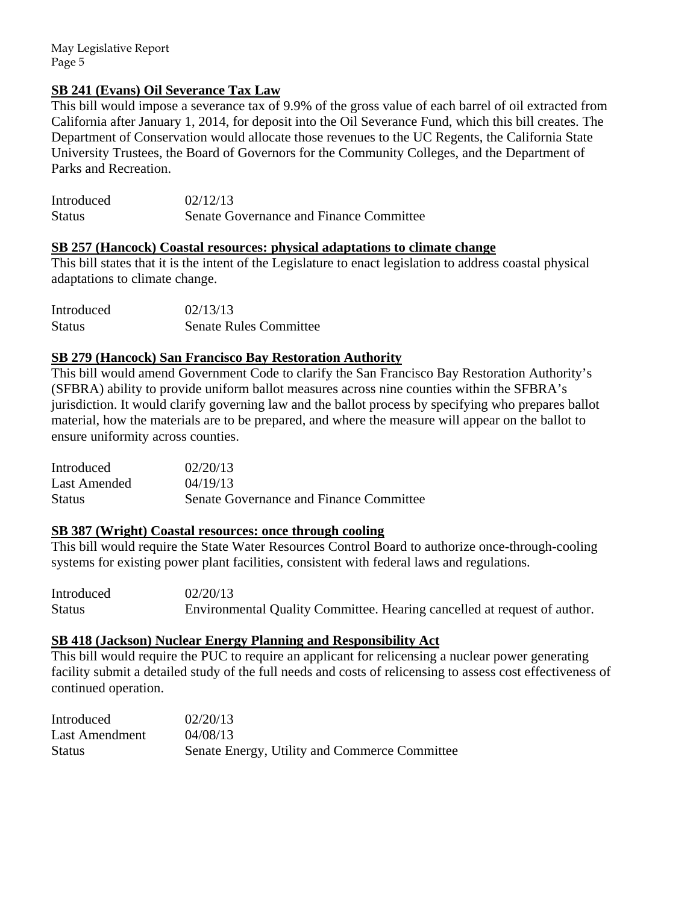May Legislative Report Page 5

## **SB 241 (Evans) Oil Severance Tax Law**

This bill would impose a severance tax of 9.9% of the gross value of each barrel of oil extracted from California after January 1, 2014, for deposit into the Oil Severance Fund, which this bill creates. The Department of Conservation would allocate those revenues to the UC Regents, the California State University Trustees, the Board of Governors for the Community Colleges, and the Department of Parks and Recreation.

| Introduced    | 02/12/13                                |
|---------------|-----------------------------------------|
| <b>Status</b> | Senate Governance and Finance Committee |

#### **SB 257 (Hancock) Coastal resources: physical adaptations to climate change**

This bill states that it is the intent of the Legislature to enact legislation to address coastal physical adaptations to climate change.

| Introduced    | 02/13/13                      |
|---------------|-------------------------------|
| <b>Status</b> | <b>Senate Rules Committee</b> |

## **SB 279 (Hancock) San Francisco Bay Restoration Authority**

This bill would amend Government Code to clarify the San Francisco Bay Restoration Authority's (SFBRA) ability to provide uniform ballot measures across nine counties within the SFBRA's jurisdiction. It would clarify governing law and the ballot process by specifying who prepares ballot material, how the materials are to be prepared, and where the measure will appear on the ballot to ensure uniformity across counties.

| Introduced   | 02/20/13                                |
|--------------|-----------------------------------------|
| Last Amended | 04/19/13                                |
| Status       | Senate Governance and Finance Committee |

#### **SB 387 (Wright) Coastal resources: once through cooling**

This bill would require the State Water Resources Control Board to authorize once-through-cooling systems for existing power plant facilities, consistent with federal laws and regulations.

Introduced 02/20/13 Status Environmental Quality Committee. Hearing cancelled at request of author.

#### **SB 418 (Jackson) Nuclear Energy Planning and Responsibility Act**

This bill would require the PUC to require an applicant for relicensing a nuclear power generating facility submit a detailed study of the full needs and costs of relicensing to assess cost effectiveness of continued operation.

| Introduced     | 02/20/13                                      |
|----------------|-----------------------------------------------|
| Last Amendment | 04/08/13                                      |
| <b>Status</b>  | Senate Energy, Utility and Commerce Committee |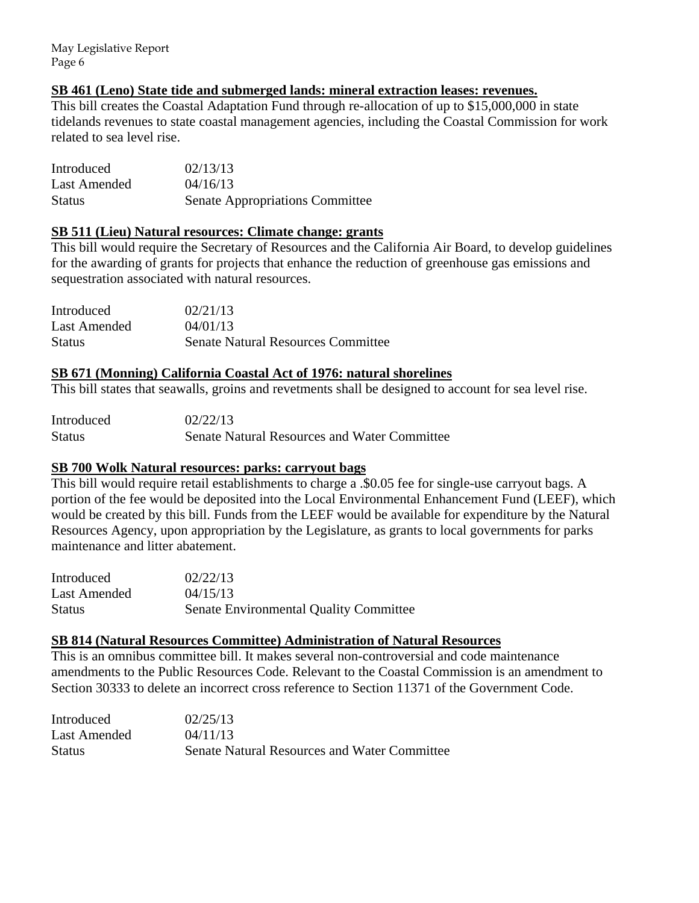May Legislative Report Page 6

#### **SB 461 (Leno) State tide and submerged lands: mineral extraction leases: revenues.**

This bill creates the Coastal Adaptation Fund through re-allocation of up to \$15,000,000 in state tidelands revenues to state coastal management agencies, including the Coastal Commission for work related to sea level rise.

Introduced 02/13/13 Last Amended  $04/16/13$ Status Senate Appropriations Committee

#### **SB 511 (Lieu) Natural resources: Climate change: grants**

This bill would require the Secretary of Resources and the California Air Board, to develop guidelines for the awarding of grants for projects that enhance the reduction of greenhouse gas emissions and sequestration associated with natural resources.

| Introduced    | 02/21/13                                  |
|---------------|-------------------------------------------|
| Last Amended  | 04/01/13                                  |
| <b>Status</b> | <b>Senate Natural Resources Committee</b> |

#### **SB 671 (Monning) California Coastal Act of 1976: natural shorelines**

This bill states that seawalls, groins and revetments shall be designed to account for sea level rise.

| Introduced    | 02/22/13                                            |
|---------------|-----------------------------------------------------|
| <b>Status</b> | <b>Senate Natural Resources and Water Committee</b> |

#### **SB 700 Wolk Natural resources: parks: carryout bags**

This bill would require retail establishments to charge a .\$0.05 fee for single-use carryout bags. A portion of the fee would be deposited into the Local Environmental Enhancement Fund (LEEF), which would be created by this bill. Funds from the LEEF would be available for expenditure by the Natural Resources Agency, upon appropriation by the Legislature, as grants to local governments for parks maintenance and litter abatement.

| Introduced    | 02/22/13                                      |
|---------------|-----------------------------------------------|
| Last Amended  | 04/15/13                                      |
| <b>Status</b> | <b>Senate Environmental Quality Committee</b> |

## **SB 814 (Natural Resources Committee) Administration of Natural Resources**

This is an omnibus committee bill. It makes several non-controversial and code maintenance amendments to the Public Resources Code. Relevant to the Coastal Commission is an amendment to Section 30333 to delete an incorrect cross reference to Section 11371 of the Government Code.

| Introduced    | 02/25/13                                            |
|---------------|-----------------------------------------------------|
| Last Amended  | 04/11/13                                            |
| <b>Status</b> | <b>Senate Natural Resources and Water Committee</b> |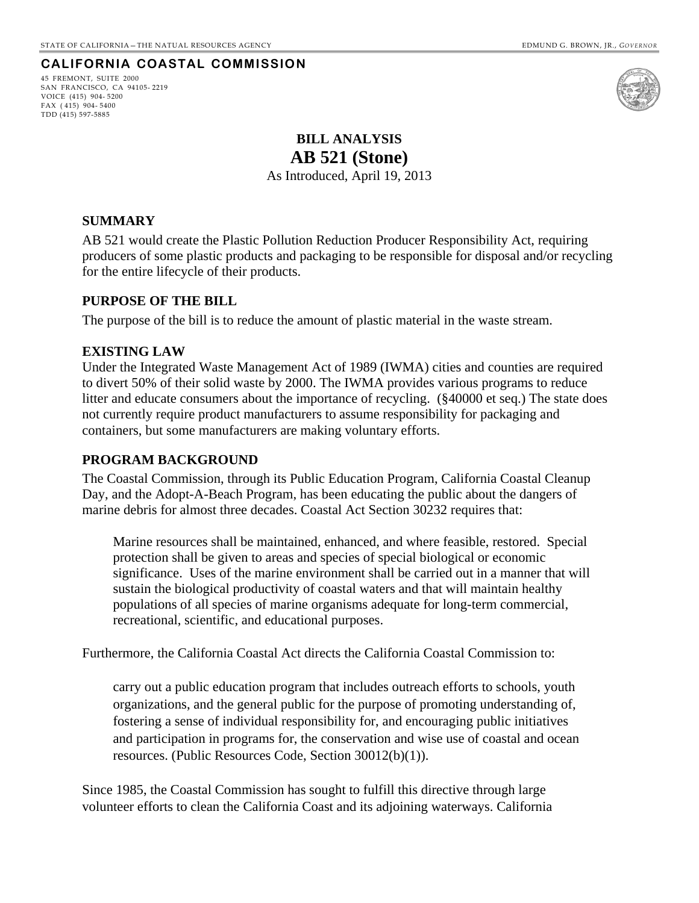## <span id="page-6-0"></span>**CALIFORNIA COASTAL COMMISSION**

45 FREMONT, SUITE 2000 SAN FRANCISCO, CA 94105- 2219 VOICE (415) 904- 5200 FAX ( 415) 904- 5400 TDD (415) 597-5885



# **BILL ANALYSIS AB 521 (Stone)**

As Introduced, April 19, 2013

#### **SUMMARY**

AB 521 would create the Plastic Pollution Reduction Producer Responsibility Act, requiring producers of some plastic products and packaging to be responsible for disposal and/or recycling for the entire lifecycle of their products.

#### **PURPOSE OF THE BILL**

The purpose of the bill is to reduce the amount of plastic material in the waste stream.

#### **EXISTING LAW**

Under the Integrated Waste Management Act of 1989 (IWMA) cities and counties are required to divert 50% of their solid waste by 2000. The IWMA provides various programs to reduce litter and educate consumers about the importance of recycling. (§40000 et seq.) The state does not currently require product manufacturers to assume responsibility for packaging and containers, but some manufacturers are making voluntary efforts.

#### **PROGRAM BACKGROUND**

The Coastal Commission, through its Public Education Program, California Coastal Cleanup Day, and the Adopt-A-Beach Program, has been educating the public about the dangers of marine debris for almost three decades. Coastal Act Section 30232 requires that:

Marine resources shall be maintained, enhanced, and where feasible, restored. Special protection shall be given to areas and species of special biological or economic significance. Uses of the marine environment shall be carried out in a manner that will sustain the biological productivity of coastal waters and that will maintain healthy populations of all species of marine organisms adequate for long-term commercial, recreational, scientific, and educational purposes.

Furthermore, the California Coastal Act directs the California Coastal Commission to:

carry out a public education program that includes outreach efforts to schools, youth organizations, and the general public for the purpose of promoting understanding of, fostering a sense of individual responsibility for, and encouraging public initiatives and participation in programs for, the conservation and wise use of coastal and ocean resources. (Public Resources Code, Section 30012(b)(1)).

Since 1985, the Coastal Commission has sought to fulfill this directive through large volunteer efforts to clean the California Coast and its adjoining waterways. California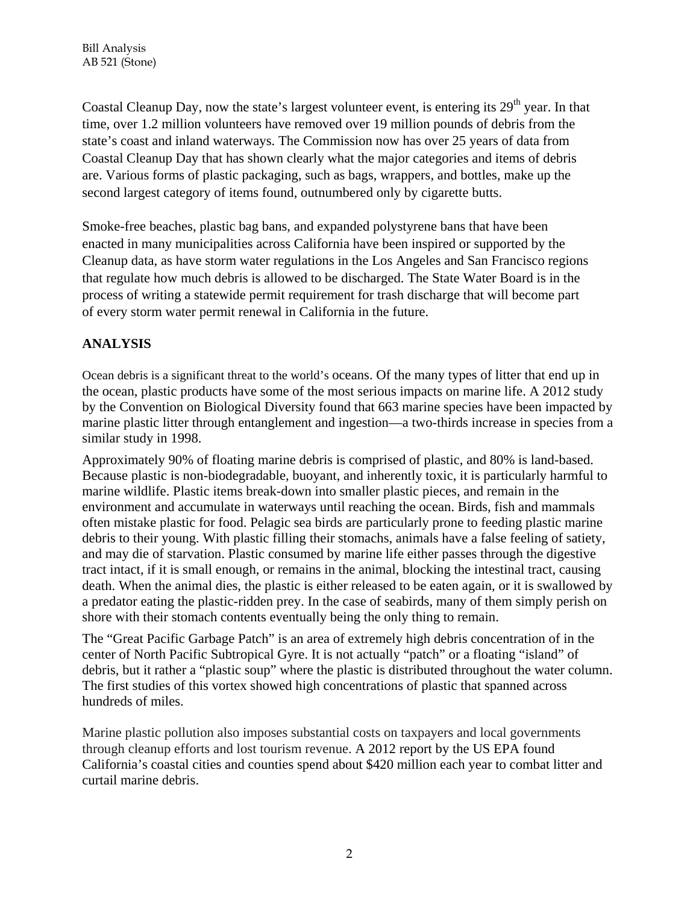Coastal Cleanup Day, now the state's largest volunteer event, is entering its  $29<sup>th</sup>$  year. In that time, over 1.2 million volunteers have removed over 19 million pounds of debris from the state's coast and inland waterways. The Commission now has over 25 years of data from Coastal Cleanup Day that has shown clearly what the major categories and items of debris are. Various forms of plastic packaging, such as bags, wrappers, and bottles, make up the second largest category of items found, outnumbered only by cigarette butts.

Smoke-free beaches, plastic bag bans, and expanded polystyrene bans that have been enacted in many municipalities across California have been inspired or supported by the Cleanup data, as have storm water regulations in the Los Angeles and San Francisco regions that regulate how much debris is allowed to be discharged. The State Water Board is in the process of writing a statewide permit requirement for trash discharge that will become part of every storm water permit renewal in California in the future.

# **ANALYSIS**

Ocean debris is a significant threat to the world's oceans. Of the many types of litter that end up in the ocean, plastic products have some of the most serious impacts on marine life. A 2012 study by the Convention on Biological Diversity found that 663 marine species have been impacted by marine plastic litter through entanglement and ingestion—a two-thirds increase in species from a similar study in 1998.

Approximately 90% of floating marine debris is comprised of plastic, and 80% is land-based. Because plastic is non-biodegradable, buoyant, and inherently toxic, it is particularly harmful to marine wildlife. Plastic items break-down into smaller plastic pieces, and remain in the environment and accumulate in waterways until reaching the ocean. Birds, fish and mammals often mistake plastic for food. Pelagic sea birds are particularly prone to feeding plastic marine debris to their young. With plastic filling their stomachs, animals have a false feeling of satiety, and may die of starvation. Plastic consumed by marine life either passes through the digestive tract intact, if it is small enough, or remains in the animal, blocking the intestinal tract, causing death. When the animal dies, the plastic is either released to be eaten again, or it is swallowed by a predator eating the plastic-ridden prey. In the case of seabirds, many of them simply perish on shore with their stomach contents eventually being the only thing to remain.

The "Great Pacific Garbage Patch" is an area of extremely high debris concentration of in the center of North Pacific Subtropical Gyre. It is not actually "patch" or a floating "island" of debris, but it rather a "plastic soup" where the plastic is distributed throughout the water column. The first studies of this vortex showed high concentrations of plastic that spanned across hundreds of miles.

Marine plastic pollution also imposes substantial costs on taxpayers and local governments through cleanup efforts and lost tourism revenue. A 2012 report by the US EPA found California's coastal cities and counties spend about \$420 million each year to combat litter and curtail marine debris.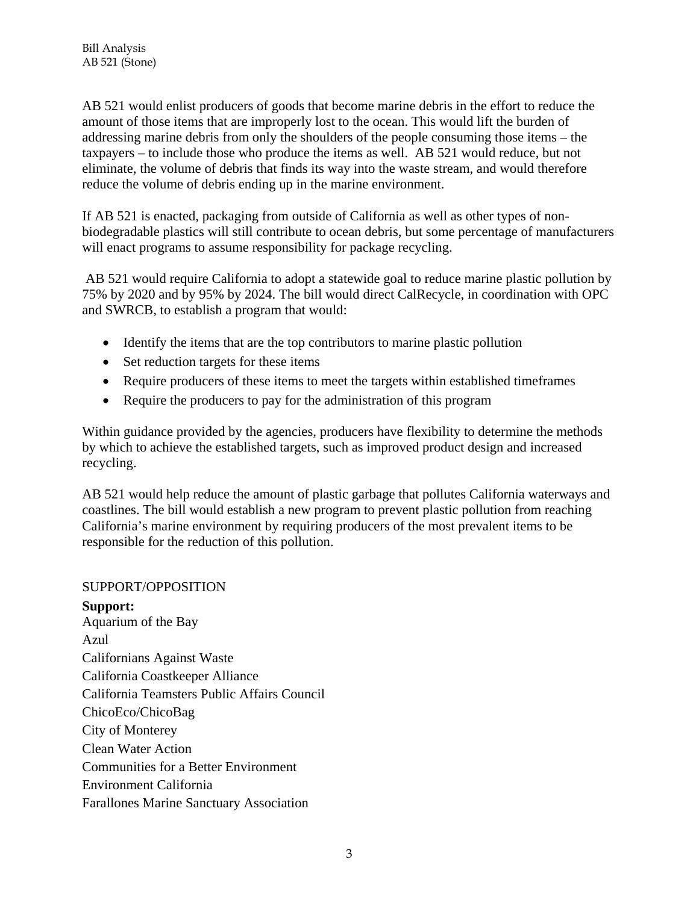AB 521 would enlist producers of goods that become marine debris in the effort to reduce the amount of those items that are improperly lost to the ocean. This would lift the burden of addressing marine debris from only the shoulders of the people consuming those items – the taxpayers – to include those who produce the items as well. AB 521 would reduce, but not eliminate, the volume of debris that finds its way into the waste stream, and would therefore reduce the volume of debris ending up in the marine environment.

If AB 521 is enacted, packaging from outside of California as well as other types of nonbiodegradable plastics will still contribute to ocean debris, but some percentage of manufacturers will enact programs to assume responsibility for package recycling.

 AB 521 would require California to adopt a statewide goal to reduce marine plastic pollution by 75% by 2020 and by 95% by 2024. The bill would direct CalRecycle, in coordination with OPC and SWRCB, to establish a program that would:

- Identify the items that are the top contributors to marine plastic pollution
- Set reduction targets for these items
- Require producers of these items to meet the targets within established timeframes
- Require the producers to pay for the administration of this program

Within guidance provided by the agencies, producers have flexibility to determine the methods by which to achieve the established targets, such as improved product design and increased recycling.

AB 521 would help reduce the amount of plastic garbage that pollutes California waterways and coastlines. The bill would establish a new program to prevent plastic pollution from reaching California's marine environment by requiring producers of the most prevalent items to be responsible for the reduction of this pollution.

#### SUPPORT/OPPOSITION

**Support:**  Aquarium of the Bay Azul Californians Against Waste California Coastkeeper Alliance California Teamsters Public Affairs Council ChicoEco/ChicoBag City of Monterey Clean Water Action Communities for a Better Environment Environment California Farallones Marine Sanctuary Association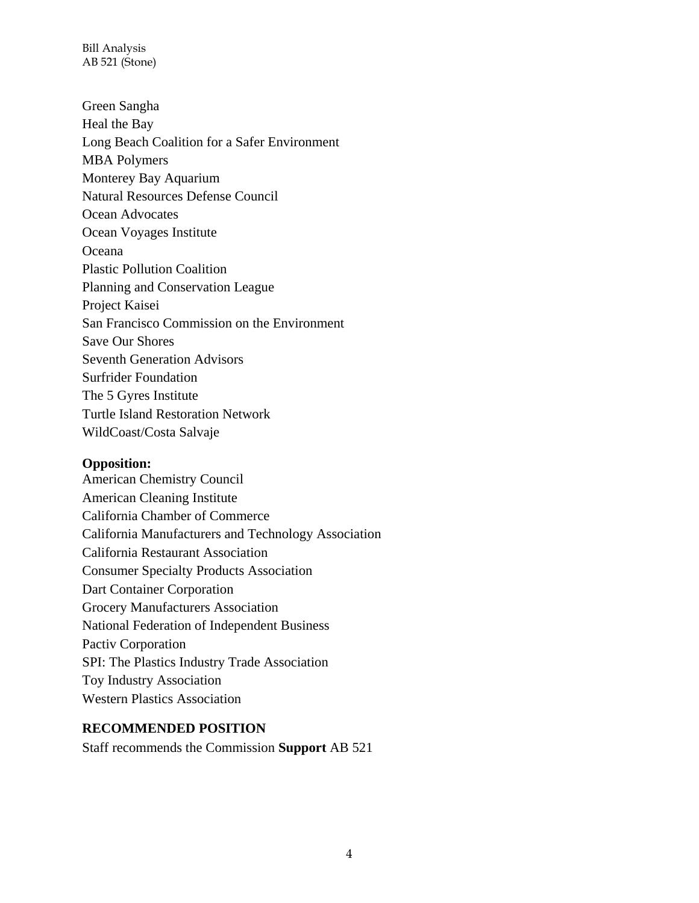Bill Analysis AB 521 (Stone)

Green Sangha Heal the Bay Long Beach Coalition for a Safer Environment MBA Polymers Monterey Bay Aquarium Natural Resources Defense Council Ocean Advocates Ocean Voyages Institute **Oceana** Plastic Pollution Coalition Planning and Conservation League Project Kaisei San Francisco Commission on the Environment Save Our Shores Seventh Generation Advisors Surfrider Foundation The 5 Gyres Institute Turtle Island Restoration Network WildCoast/Costa Salvaje

#### **Opposition:**

American Chemistry Council American Cleaning Institute California Chamber of Commerce California Manufacturers and Technology Association California Restaurant Association Consumer Specialty Products Association Dart Container Corporation Grocery Manufacturers Association National Federation of Independent Business Pactiv Corporation SPI: The Plastics Industry Trade Association Toy Industry Association Western Plastics Association

#### **RECOMMENDED POSITION**

Staff recommends the Commission **Support** AB 521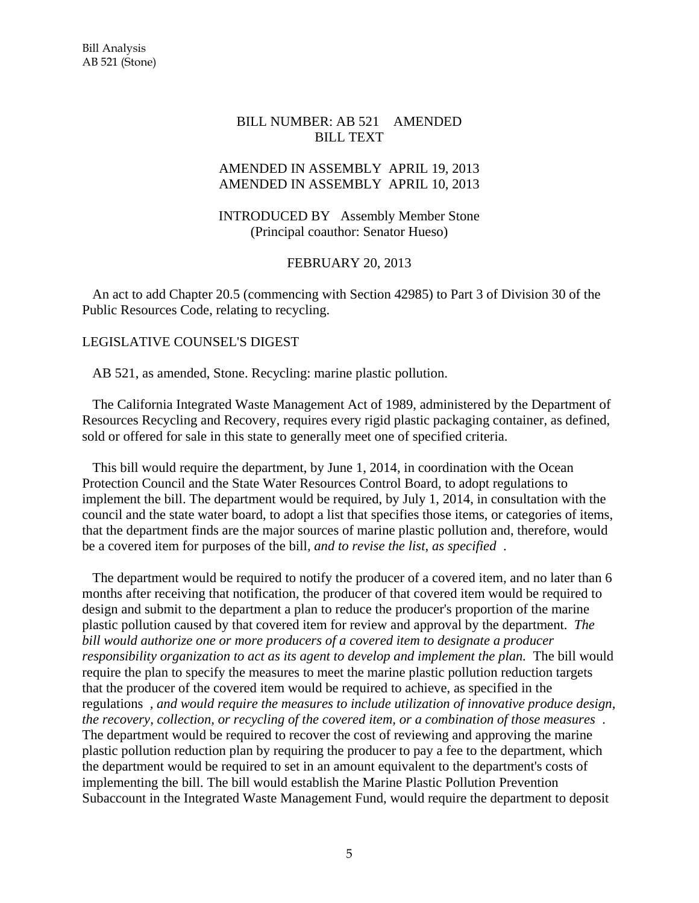#### BILL NUMBER: AB 521 AMENDED BILL TEXT

#### AMENDED IN ASSEMBLY APRIL 19, 2013 AMENDED IN ASSEMBLY APRIL 10, 2013

#### INTRODUCED BY Assembly Member Stone (Principal coauthor: Senator Hueso)

#### FEBRUARY 20, 2013

 An act to add Chapter 20.5 (commencing with Section 42985) to Part 3 of Division 30 of the Public Resources Code, relating to recycling.

#### LEGISLATIVE COUNSEL'S DIGEST

AB 521, as amended, Stone. Recycling: marine plastic pollution.

 The California Integrated Waste Management Act of 1989, administered by the Department of Resources Recycling and Recovery, requires every rigid plastic packaging container, as defined, sold or offered for sale in this state to generally meet one of specified criteria.

 This bill would require the department, by June 1, 2014, in coordination with the Ocean Protection Council and the State Water Resources Control Board, to adopt regulations to implement the bill. The department would be required, by July 1, 2014, in consultation with the council and the state water board, to adopt a list that specifies those items, or categories of items, that the department finds are the major sources of marine plastic pollution and, therefore, would be a covered item for purposes of the bill*, and to revise the list, as specified* .

 The department would be required to notify the producer of a covered item, and no later than 6 months after receiving that notification, the producer of that covered item would be required to design and submit to the department a plan to reduce the producer's proportion of the marine plastic pollution caused by that covered item for review and approval by the department. *The bill would authorize one or more producers of a covered item to designate a producer responsibility organization to act as its agent to develop and implement the plan.* The bill would require the plan to specify the measures to meet the marine plastic pollution reduction targets that the producer of the covered item would be required to achieve, as specified in the regulations *, and would require the measures to include utilization of innovative produce design, the recovery, collection, or recycling of the covered item, or a combination of those measures* . The department would be required to recover the cost of reviewing and approving the marine plastic pollution reduction plan by requiring the producer to pay a fee to the department, which the department would be required to set in an amount equivalent to the department's costs of implementing the bill. The bill would establish the Marine Plastic Pollution Prevention Subaccount in the Integrated Waste Management Fund, would require the department to deposit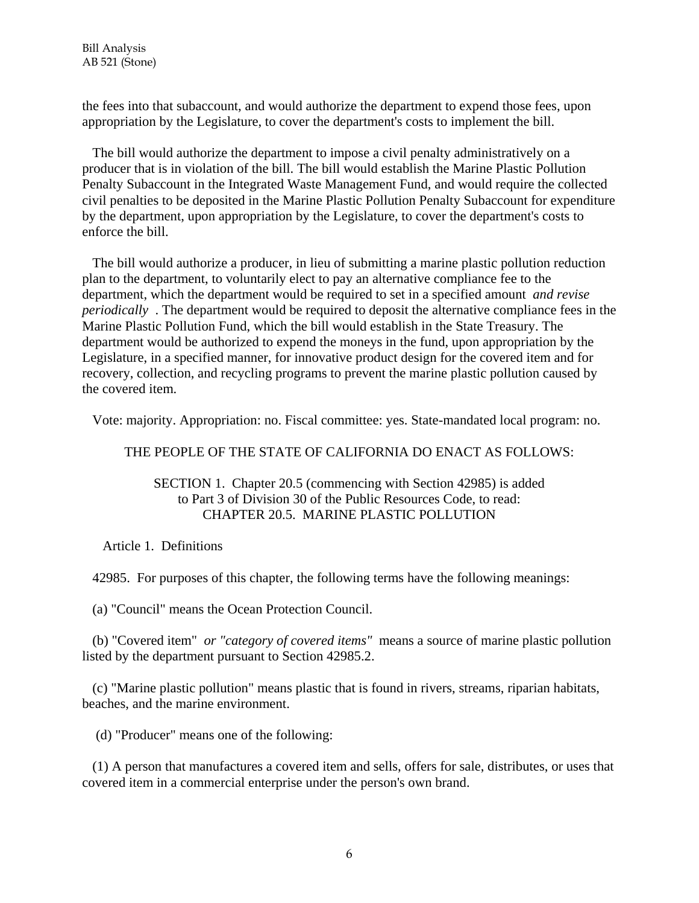the fees into that subaccount, and would authorize the department to expend those fees, upon appropriation by the Legislature, to cover the department's costs to implement the bill.

 The bill would authorize the department to impose a civil penalty administratively on a producer that is in violation of the bill. The bill would establish the Marine Plastic Pollution Penalty Subaccount in the Integrated Waste Management Fund, and would require the collected civil penalties to be deposited in the Marine Plastic Pollution Penalty Subaccount for expenditure by the department, upon appropriation by the Legislature, to cover the department's costs to enforce the bill.

 The bill would authorize a producer, in lieu of submitting a marine plastic pollution reduction plan to the department, to voluntarily elect to pay an alternative compliance fee to the department, which the department would be required to set in a specified amount *and revise periodically* . The department would be required to deposit the alternative compliance fees in the Marine Plastic Pollution Fund, which the bill would establish in the State Treasury. The department would be authorized to expend the moneys in the fund, upon appropriation by the Legislature, in a specified manner, for innovative product design for the covered item and for recovery, collection, and recycling programs to prevent the marine plastic pollution caused by the covered item.

Vote: majority. Appropriation: no. Fiscal committee: yes. State-mandated local program: no.

#### THE PEOPLE OF THE STATE OF CALIFORNIA DO ENACT AS FOLLOWS:

#### SECTION 1. Chapter 20.5 (commencing with Section 42985) is added to Part 3 of Division 30 of the Public Resources Code, to read: CHAPTER 20.5. MARINE PLASTIC POLLUTION

Article 1. Definitions

42985. For purposes of this chapter, the following terms have the following meanings:

(a) "Council" means the Ocean Protection Council.

 (b) "Covered item" *or "category of covered items"* means a source of marine plastic pollution listed by the department pursuant to Section 42985.2.

 (c) "Marine plastic pollution" means plastic that is found in rivers, streams, riparian habitats, beaches, and the marine environment.

(d) "Producer" means one of the following:

 (1) A person that manufactures a covered item and sells, offers for sale, distributes, or uses that covered item in a commercial enterprise under the person's own brand.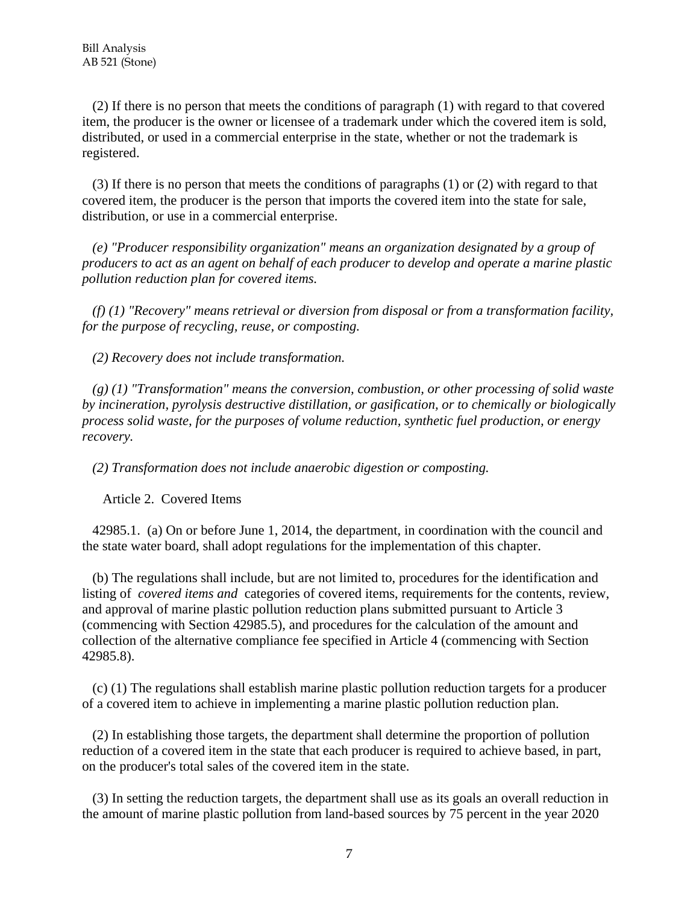(2) If there is no person that meets the conditions of paragraph (1) with regard to that covered item, the producer is the owner or licensee of a trademark under which the covered item is sold, distributed, or used in a commercial enterprise in the state, whether or not the trademark is registered.

 (3) If there is no person that meets the conditions of paragraphs (1) or (2) with regard to that covered item, the producer is the person that imports the covered item into the state for sale, distribution, or use in a commercial enterprise.

 *(e) "Producer responsibility organization" means an organization designated by a group of producers to act as an agent on behalf of each producer to develop and operate a marine plastic pollution reduction plan for covered items.* 

 *(f) (1) "Recovery" means retrieval or diversion from disposal or from a transformation facility, for the purpose of recycling, reuse, or composting.* 

 *(2) Recovery does not include transformation.* 

 *(g) (1) "Transformation" means the conversion, combustion, or other processing of solid waste by incineration, pyrolysis destructive distillation, or gasification, or to chemically or biologically process solid waste, for the purposes of volume reduction, synthetic fuel production, or energy recovery.* 

 *(2) Transformation does not include anaerobic digestion or composting.* 

Article 2. Covered Items

 42985.1. (a) On or before June 1, 2014, the department, in coordination with the council and the state water board, shall adopt regulations for the implementation of this chapter.

 (b) The regulations shall include, but are not limited to, procedures for the identification and listing of *covered items and* categories of covered items, requirements for the contents, review, and approval of marine plastic pollution reduction plans submitted pursuant to Article 3 (commencing with Section 42985.5), and procedures for the calculation of the amount and collection of the alternative compliance fee specified in Article 4 (commencing with Section 42985.8).

 (c) (1) The regulations shall establish marine plastic pollution reduction targets for a producer of a covered item to achieve in implementing a marine plastic pollution reduction plan.

 (2) In establishing those targets, the department shall determine the proportion of pollution reduction of a covered item in the state that each producer is required to achieve based, in part, on the producer's total sales of the covered item in the state.

 (3) In setting the reduction targets, the department shall use as its goals an overall reduction in the amount of marine plastic pollution from land-based sources by 75 percent in the year 2020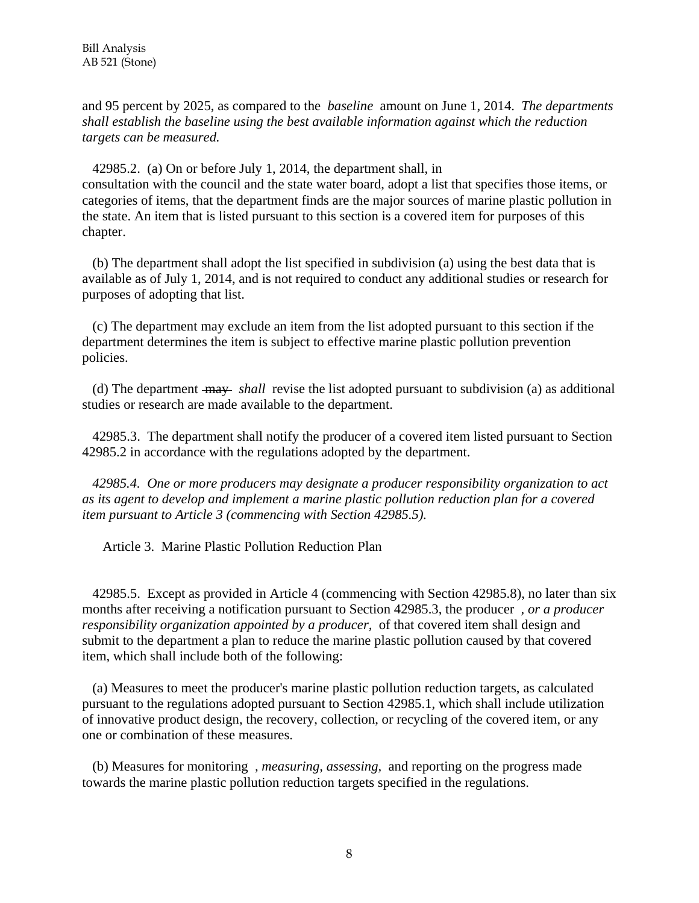and 95 percent by 2025, as compared to the *baseline* amount on June 1, 2014. *The departments shall establish the baseline using the best available information against which the reduction targets can be measured.* 

 42985.2. (a) On or before July 1, 2014, the department shall, in consultation with the council and the state water board, adopt a list that specifies those items, or categories of items, that the department finds are the major sources of marine plastic pollution in the state. An item that is listed pursuant to this section is a covered item for purposes of this chapter.

 (b) The department shall adopt the list specified in subdivision (a) using the best data that is available as of July 1, 2014, and is not required to conduct any additional studies or research for purposes of adopting that list.

 (c) The department may exclude an item from the list adopted pursuant to this section if the department determines the item is subject to effective marine plastic pollution prevention policies.

 (d) The department may *shall* revise the list adopted pursuant to subdivision (a) as additional studies or research are made available to the department.

 42985.3. The department shall notify the producer of a covered item listed pursuant to Section 42985.2 in accordance with the regulations adopted by the department.

 *42985.4. One or more producers may designate a producer responsibility organization to act as its agent to develop and implement a marine plastic pollution reduction plan for a covered item pursuant to Article 3 (commencing with Section 42985.5).* 

Article 3. Marine Plastic Pollution Reduction Plan

 42985.5. Except as provided in Article 4 (commencing with Section 42985.8), no later than six months after receiving a notification pursuant to Section 42985.3, the producer *, or a producer responsibility organization appointed by a producer,* of that covered item shall design and submit to the department a plan to reduce the marine plastic pollution caused by that covered item, which shall include both of the following:

 (a) Measures to meet the producer's marine plastic pollution reduction targets, as calculated pursuant to the regulations adopted pursuant to Section 42985.1, which shall include utilization of innovative product design, the recovery, collection, or recycling of the covered item, or any one or combination of these measures.

 (b) Measures for monitoring *, measuring, assessing,* and reporting on the progress made towards the marine plastic pollution reduction targets specified in the regulations.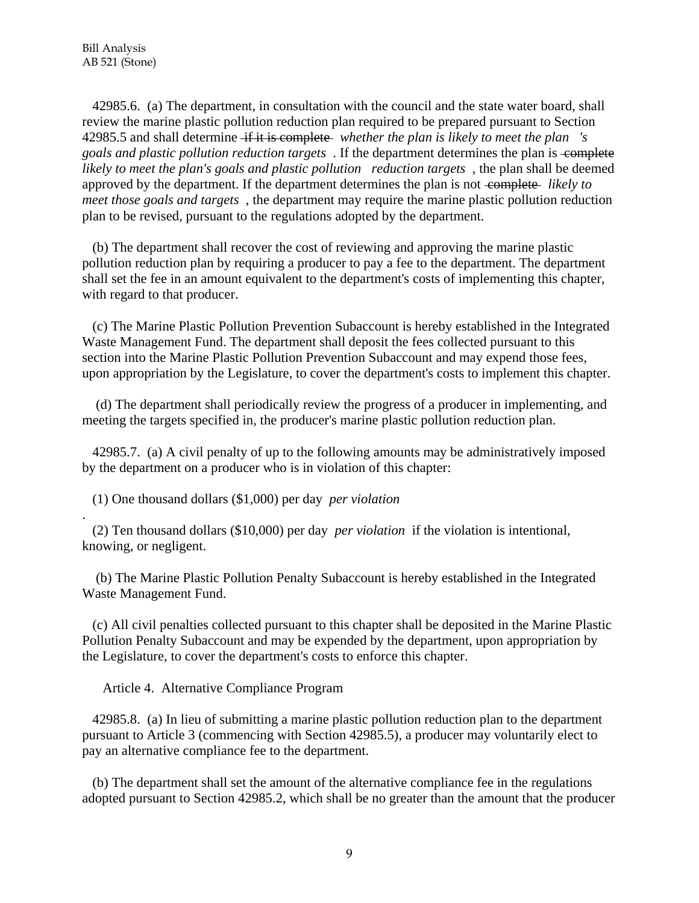.

 42985.6. (a) The department, in consultation with the council and the state water board, shall review the marine plastic pollution reduction plan required to be prepared pursuant to Section 42985.5 and shall determine if it is complete *whether the plan is likely to meet the plan 's goals and plastic pollution reduction targets* . If the department determines the plan is complete *likely to meet the plan's goals and plastic pollution reduction targets* , the plan shall be deemed approved by the department. If the department determines the plan is not complete *likely to meet those goals and targets* , the department may require the marine plastic pollution reduction plan to be revised, pursuant to the regulations adopted by the department.

 (b) The department shall recover the cost of reviewing and approving the marine plastic pollution reduction plan by requiring a producer to pay a fee to the department. The department shall set the fee in an amount equivalent to the department's costs of implementing this chapter, with regard to that producer.

 (c) The Marine Plastic Pollution Prevention Subaccount is hereby established in the Integrated Waste Management Fund. The department shall deposit the fees collected pursuant to this section into the Marine Plastic Pollution Prevention Subaccount and may expend those fees, upon appropriation by the Legislature, to cover the department's costs to implement this chapter.

 (d) The department shall periodically review the progress of a producer in implementing, and meeting the targets specified in, the producer's marine plastic pollution reduction plan.

 42985.7. (a) A civil penalty of up to the following amounts may be administratively imposed by the department on a producer who is in violation of this chapter:

(1) One thousand dollars (\$1,000) per day *per violation* 

 (2) Ten thousand dollars (\$10,000) per day *per violation* if the violation is intentional, knowing, or negligent.

 (b) The Marine Plastic Pollution Penalty Subaccount is hereby established in the Integrated Waste Management Fund.

 (c) All civil penalties collected pursuant to this chapter shall be deposited in the Marine Plastic Pollution Penalty Subaccount and may be expended by the department, upon appropriation by the Legislature, to cover the department's costs to enforce this chapter.

Article 4. Alternative Compliance Program

 42985.8. (a) In lieu of submitting a marine plastic pollution reduction plan to the department pursuant to Article 3 (commencing with Section 42985.5), a producer may voluntarily elect to pay an alternative compliance fee to the department.

 (b) The department shall set the amount of the alternative compliance fee in the regulations adopted pursuant to Section 42985.2, which shall be no greater than the amount that the producer